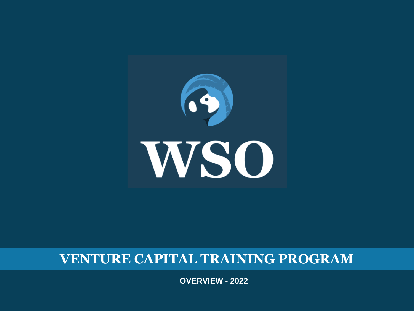

#### **VENTURE CAPITAL TRAINING PROGRAM**

**OVERVIEW - 2022**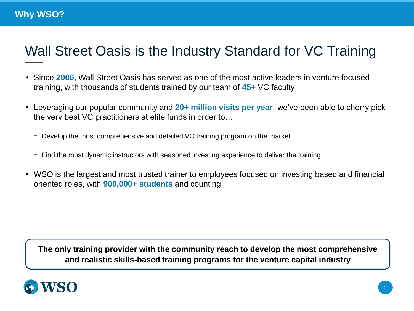### Wall Street Oasis is the Industry Standard for VC Training

- Since **2006**, Wall Street Oasis has served as one of the most active leaders in venture focused training, with thousands of students trained by our team of **45+** VC faculty
- Leveraging our popular community and 20+ million visits per year, we've been able to cherry pick the very best VC practitioners at elite funds in order to…
	- $-$  Develop the most comprehensive and detailed VC training program on the market
	- $-$  Find the most dynamic instructors with seasoned investing experience to deliver the training
- WSO is the largest and most trusted trainer to employees focused on investing based and financial oriented roles, with **900,000+ students** and counting

**The only training provider with the community reach to develop the most comprehensive and realistic skills-based training programs for the venture capital industry**

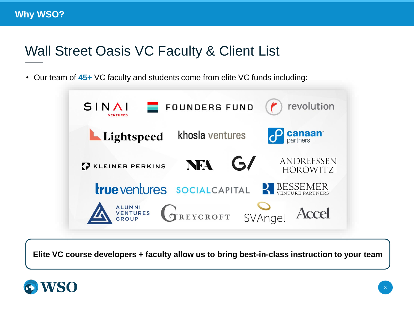#### Wall Street Oasis VC Faculty & Client List

• Our team of **45+** VC faculty and students come from elite VC funds including:



**Elite VC course developers + faculty allow us to bring best-in-class instruction to your team**

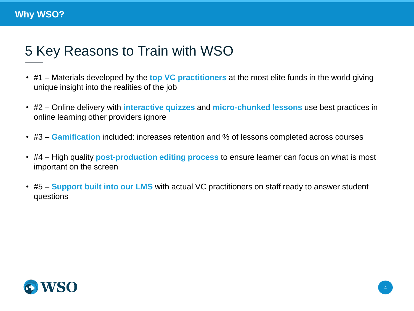# 5 Key Reasons to Train with WSO

- #1 Materials developed by the **top VC practitioners** at the most elite funds in the world giving unique insight into the realities of the job
- #2 Online delivery with **interactive quizzes** and **micro-chunked lessons** use best practices in online learning other providers ignore
- #3 **Gamification** included: increases retention and % of lessons completed across courses
- #4 High quality **post-production editing process** to ensure learner can focus on what is most important on the screen
- #5 **Support built into our LMS** with actual VC practitioners on staff ready to answer student questions

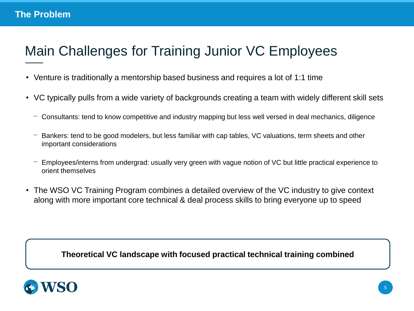# Main Challenges for Training Junior VC Employees

- Venture is traditionally a mentorship based business and requires a lot of 1:1 time
- VC typically pulls from a wide variety of backgrounds creating a team with widely different skill sets
	- Consultants: tend to know competitive and industry mapping but less well versed in deal mechanics, diligence
	- Bankers: tend to be good modelers, but less familiar with cap tables, VC valuations, term sheets and other important considerations
	- Employees/interns from undergrad: usually very green with vague notion of VC but little practical experience to orient themselves
- The WSO VC Training Program combines a detailed overview of the VC industry to give context along with more important core technical & deal process skills to bring everyone up to speed

**Theoretical VC landscape with focused practical technical training combined**

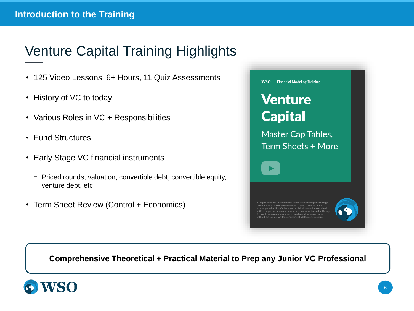# Venture Capital Training Highlights

- 125 Video Lessons, 6+ Hours, 11 Quiz Assessments
- History of VC to today
- Various Roles in VC + Responsibilities
- Fund Structures
- Early Stage VC financial instruments
	- ⎻ Priced rounds, valuation, convertible debt, convertible equity, venture debt, etc
- Term Sheet Review (Control + Economics)

| <b>WSO</b><br><b>Financial Modeling Training</b>                                                                                                                                                                                                                                                                                                                                                                                    |
|-------------------------------------------------------------------------------------------------------------------------------------------------------------------------------------------------------------------------------------------------------------------------------------------------------------------------------------------------------------------------------------------------------------------------------------|
| <b>Venture</b>                                                                                                                                                                                                                                                                                                                                                                                                                      |
| <b>Capital</b>                                                                                                                                                                                                                                                                                                                                                                                                                      |
| <b>Master Cap Tables,</b><br><b>Term Sheets + More</b>                                                                                                                                                                                                                                                                                                                                                                              |
|                                                                                                                                                                                                                                                                                                                                                                                                                                     |
| All rights reserved. All information in this course is subject to change<br>without notice. WallStreetOasis.com makes no claims as to the<br>accuracy or reliability of this course or of the information contained<br>within. No part of this course may be reproduced or transmitted in any<br>form or by any means, electronic or mechanical, for any purpose,<br>without the express written permission of WallStreetOasis.com. |

#### **Comprehensive Theoretical + Practical Material to Prep any Junior VC Professional**

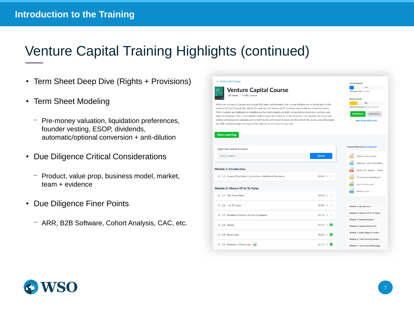### Venture Capital Training Highlights (continued)

- Term Sheet Deep Dive (Rights + Provisions)
- Term Sheet Modeling
	- Pre-money valuation, liquidation preferences, founder vesting, ESOP, dividends, automatic/optional conversion + anti-dilution
- Due Diligence Critical Considerations
	- ⎻ Product, value prop, business model, market, team + evidence
- Due Diligence Finer Points
	- ⎻ ARR, B2B Software, Cohort Analysis, CAC, etc.



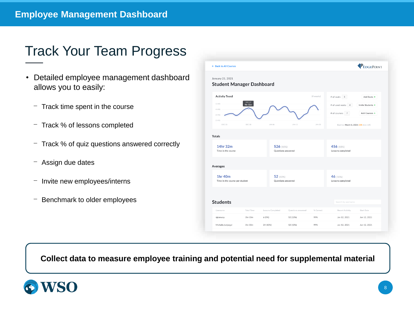### Track Your Team Progress

- Detailed employee management dashboard allows you to easily:
	- $-$  Track time spent in the course
	- ⎻ Track % of lessons completed
	- ⎻ Track % of quiz questions answered correctly
	- $-$  Assign due dates
	- Invite new employees/interns
	- ⎻ Benchmark to older employees

| ← Back to All Courses                                |                   |                   |                           |           |                                        | EDGEPOINT                     |  |
|------------------------------------------------------|-------------------|-------------------|---------------------------|-----------|----------------------------------------|-------------------------------|--|
| January 21, 2021<br><b>Student Manager Dashboard</b> |                   |                   |                           |           |                                        |                               |  |
| <b>Activity Trend</b>                                |                   |                   |                           | (4 weeks) | # of seats: 5                          | Add Seats +                   |  |
| <b>DEC 29</b><br>5 HRS<br>4hr 32m                    |                   |                   |                           |           | # of used seats: 4                     | Invite Students +             |  |
| 4 HRS<br>3 HRS                                       |                   |                   |                           |           | # of courses: 7                        | Add Courses +                 |  |
| 2 HRS<br>DEC 23                                      | DEC 30            | JAN 06            | JAN 13                    | JAN 20    | Expires: March 3, 2021 (238 days left) |                               |  |
| <b>Totals</b>                                        |                   |                   |                           |           |                                        |                               |  |
| 14hr 32m                                             |                   |                   | 526 (10%)                 |           |                                        | 456 (10%)                     |  |
| Time in the course                                   |                   |                   | <b>Questions answered</b> |           |                                        | Lessons completed             |  |
| Averages                                             |                   |                   |                           |           |                                        |                               |  |
| 1hr 40m                                              |                   |                   | 52 (10%)                  |           |                                        | 46 (10%)<br>Lessons completed |  |
| Time in the course per student                       |                   |                   | Questions answered        |           |                                        |                               |  |
|                                                      |                   |                   |                           |           |                                        |                               |  |
|                                                      |                   |                   |                           |           | Search by username                     |                               |  |
| <b>Students</b>                                      |                   |                   |                           |           | <b>Recent Activity</b>                 | Start Date                    |  |
| Username                                             | <b>Total Time</b> | Lessons Completed | Questions answered        | % Correct |                                        |                               |  |

**Collect data to measure employee training and potential need for supplemental material**

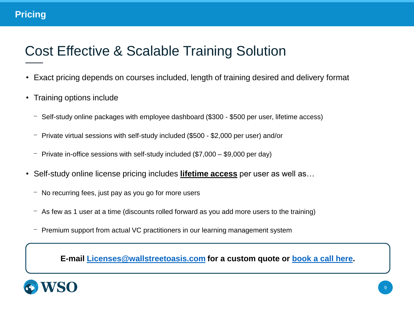### Cost Effective & Scalable Training Solution

- Exact pricing depends on courses included, length of training desired and delivery format
- Training options include
	- ⎻ Self-study online packages with employee dashboard (\$300 \$500 per user, lifetime access)
	- ⎻ Private virtual sessions with self-study included (\$500 \$2,000 per user) and/or
	- $-$  Private in-office sessions with self-study included (\$7,000 \$9,000 per day)
- Self-study online license pricing includes **lifetime access** per user as well as…
	- ⎻ No recurring fees, just pay as you go for more users
	- $-$  As few as 1 user at a time (discounts rolled forward as you add more users to the training)
	- Premium support from actual VC practitioners in our learning management system

**E-mail [Licenses@wallstreetoasis.com](mailto:Licenses@wallstreetoasis.com) for a custom quote or [book a call here.](https://calendly.com/wallstreetoasis/10-min-wso-training-li)**

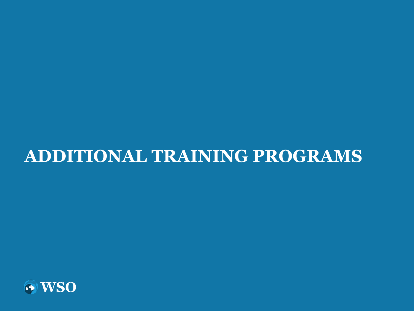# **ADDITIONAL TRAINING PROGRAMS**

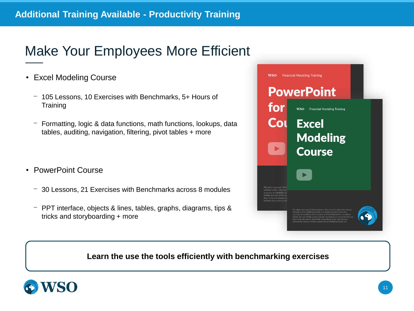#### **Additional Training Available - Productivity Training**

### Make Your Employees More Efficient

- Excel Modeling Course
	- ⎻ 105 Lessons, 10 Exercises with Benchmarks, 5+ Hours of **Training**
	- $-$  Formatting, logic & data functions, math functions, lookups, data tables, auditing, navigation, filtering, pivot tables + more
- PowerPoint Course
	- ⎻ 30 Lessons, 21 Exercises with Benchmarks across 8 modules
	- ⎻ PPT interface, objects & lines, tables, graphs, diagrams, tips & tricks and storyboarding + more



**Learn the use the tools efficiently with benchmarking exercises**

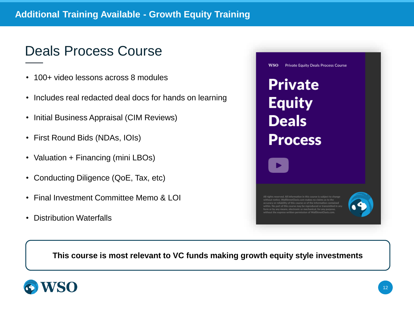#### **Additional Training Available - Growth Equity Training**

#### Deals Process Course

- 100+ video lessons across 8 modules
- Includes real redacted deal docs for hands on learning
- Initial Business Appraisal (CIM Reviews)
- First Round Bids (NDAs, IOIs)
- Valuation + Financing (mini LBOs)
- Conducting Diligence (QoE, Tax, etc)
- Final Investment Committee Memo & LOI
- Distribution Waterfalls



**This course is most relevant to VC funds making growth equity style investments**

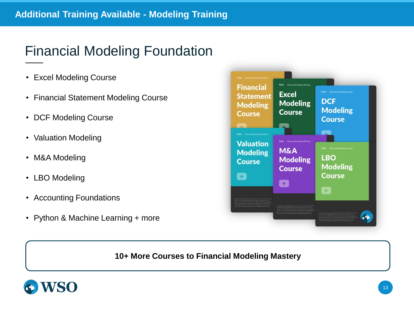### Financial Modeling Foundation

- Excel Modeling Course
- Financial Statement Modeling Course
- DCF Modeling Course
- Valuation Modeling
- M&A Modeling
- LBO Modeling
- Accounting Foundations
- Python & Machine Learning + more



#### **10+ More Courses to Financial Modeling Mastery**